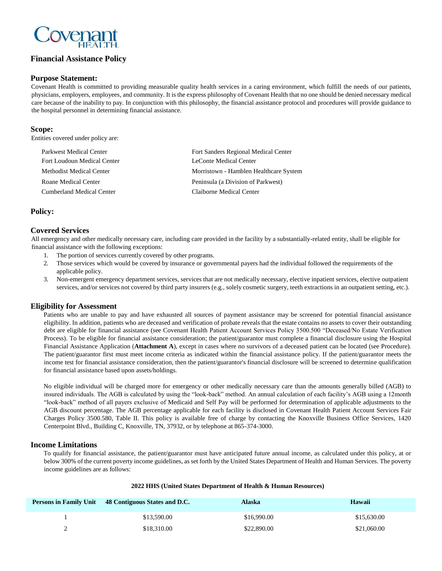

# **Financial Assistance Policy**

### **Purpose Statement:**

Covenant Health is committed to providing measurable quality health services in a caring environment, which fulfill the needs of our patients, physicians, employers, employees, and community. It is the express philosophy of Covenant Health that no one should be denied necessary medical care because of the inability to pay. In conjunction with this philosophy, the financial assistance protocol and procedures will provide guidance to the hospital personnel in determining financial assistance.

### **Scope:**

Entities covered under policy are:

| Parkwest Medical Center     | Fort Sanders Regional Medical Center   |
|-----------------------------|----------------------------------------|
| Fort Loudoun Medical Center | LeConte Medical Center                 |
| Methodist Medical Center    | Morristown - Hamblen Healthcare System |
| Roane Medical Center        | Peninsula (a Division of Parkwest)     |
| Cumberland Medical Center   | Claiborne Medical Center               |

# **Policy:**

# **Covered Services**

All emergency and other medically necessary care, including care provided in the facility by a substantially-related entity, shall be eligible for financial assistance with the following exceptions:

- 1. The portion of services currently covered by other programs.
- 2. Those services which would be covered by insurance or governmental payers had the individual followed the requirements of the applicable policy.
- 3. Non-emergent emergency department services, services that are not medically necessary, elective inpatient services, elective outpatient services, and/or services not covered by third party insurers (e.g., solely cosmetic surgery, teeth extractions in an outpatient setting, etc.).

### **Eligibility for Assessment**

Patients who are unable to pay and have exhausted all sources of payment assistance may be screened for potential financial assistance eligibility. In addition, patients who are deceased and verification of probate reveals that the estate contains no assets to cover their outstanding debt are eligible for financial assistance (see Covenant Health Patient Account Services Policy 3500.500 "Deceased/No Estate Verification Process). To be eligible for financial assistance consideration; the patient/guarantor must complete a financial disclosure using the Hospital Financial Assistance Application (**Attachment A**), except in cases where no survivors of a deceased patient can be located (see Procedure). The patient/guarantor first must meet income criteria as indicated within the financial assistance policy. If the patient/guarantor meets the income test for financial assistance consideration, then the patient/guarantor's financial disclosure will be screened to determine qualification for financial assistance based upon assets/holdings.

No eligible individual will be charged more for emergency or other medically necessary care than the amounts generally billed (AGB) to insured individuals. The AGB is calculated by using the "look-back" method. An annual calculation of each facility's AGB using a 12month "look-back" method of all payers exclusive of Medicaid and Self Pay will be performed for determination of applicable adjustments to the AGB discount percentage. The AGB percentage applicable for each facility is disclosed in Covenant Health Patient Account Services Fair Charges Policy 3500.580, Table II. This policy is available free of charge by contacting the Knoxville Business Office Services, 1420 Centerpoint Blvd., Building C, Knoxville, TN, 37932, or by telephone at 865-374-3000.

# **Income Limitations**

To qualify for financial assistance, the patient/guarantor must have anticipated future annual income, as calculated under this policy, at or below 300% of the current poverty income guidelines, as set forth by the United States Department of Health and Human Services. The poverty income guidelines are as follows:

### **2022 HHS (United States Department of Health & Human Resources)**

|   | Persons in Family Unit 48 Contiguous States and D.C. | Alaska      | <b>Hawaii</b> |
|---|------------------------------------------------------|-------------|---------------|
|   | \$13,590.00                                          | \$16,990.00 | \$15,630.00   |
| - | \$18,310.00                                          | \$22,890.00 | \$21,060.00   |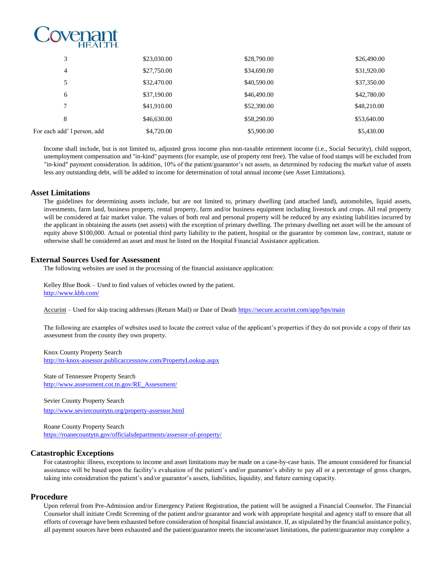

| 3                           | \$23,030.00 | \$28,790.00 | \$26,490.00 |
|-----------------------------|-------------|-------------|-------------|
| 4                           | \$27,750.00 | \$34,690.00 | \$31,920.00 |
| 5                           | \$32,470.00 | \$40,590.00 | \$37,350.00 |
| 6                           | \$37,190.00 | \$46,490.00 | \$42,780.00 |
| 7                           | \$41,910.00 | \$52,390.00 | \$48,210.00 |
| 8                           | \$46,630.00 | \$58,290.00 | \$53,640.00 |
| For each add' l person, add | \$4,720.00  | \$5,900.00  | \$5,430.00  |

Income shall include, but is not limited to, adjusted gross income plus non-taxable retirement income (i.e., Social Security), child support, unemployment compensation and "in-kind" payments (for example, use of property rent free). The value of food stamps will be excluded from "in-kind" payment consideration. In addition, 10% of the patient/guarantor's net assets, as determined by reducing the market value of assets less any outstanding debt, will be added to income for determination of total annual income (see Asset Limitations).

### **Asset Limitations**

The guidelines for determining assets include, but are not limited to, primary dwelling (and attached land), automobiles, liquid assets, investments, farm land, business property, rental property, farm and/or business equipment including livestock and crops. All real property will be considered at fair market value. The values of both real and personal property will be reduced by any existing liabilities incurred by the applicant in obtaining the assets (net assets) with the exception of primary dwelling. The primary dwelling net asset will be the amount of equity above \$100,000. Actual or potential third party liability to the patient, hospital or the guarantor by common law, contract, statute or otherwise shall be considered an asset and must be listed on the Hospital Financial Assistance application.

### **External Sources Used for Assessment**

The following websites are used in the processing of the financial assistance application:

Kelley Blue Book – Used to find values of vehicles owned by the patient. <http://www.kbb.com/>

Accurint – Used for skip tracing addresses (Return Mail) or Date of Death<https://secure.accurint.com/app/bps/main>

The following are examples of websites used to locate the correct value of the applicant's properties if they do not provide a copy of their tax assessment from the county they own property.

Knox County Property Search <http://tn-knox-assessor.publicaccessnow.com/PropertyLookup.aspx>

State of Tennessee Property Search [http://www.assessment.cot.tn.gov/RE\\_Assessment/](http://www.assessment.cot.tn.gov/RE_Assessment/)

Sevier County Property Search

<http://www.seviercountytn.org/property-assessor.html>

Roane County Property Search <https://roanecountytn.gov/officialsdepartments/assessor-of-property/>

# **Catastrophic Exceptions**

For catastrophic illness, exceptions to income and asset limitations may be made on a case-by-case basis. The amount considered for financial assistance will be based upon the facility's evaluation of the patient's and/or guarantor's ability to pay all or a percentage of gross charges, taking into consideration the patient's and/or guarantor's assets, liabilities, liquidity, and future earning capacity.

### **Procedure**

Upon referral from Pre-Admission and/or Emergency Patient Registration, the patient will be assigned a Financial Counselor. The Financial Counselor shall initiate Credit Screening of the patient and/or guarantor and work with appropriate hospital and agency staff to ensure that all efforts of coverage have been exhausted before consideration of hospital financial assistance. If, as stipulated by the financial assistance policy, all payment sources have been exhausted and the patient/guarantor meets the income/asset limitations, the patient/guarantor may complete a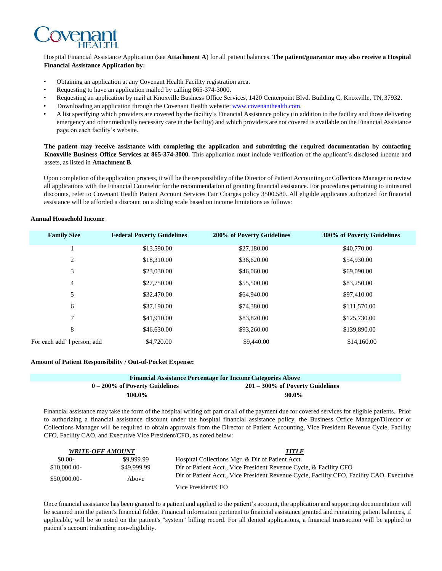

### Hospital Financial Assistance Application (see **Attachment A**) for all patient balances. **The patient/guarantor may also receive a Hospital Financial Assistance Application by:**

- Obtaining an application at any Covenant Health Facility registration area.
- Requesting to have an application mailed by calling 865-374-3000.
- Requesting an application by mail at Knoxville Business Office Services, 1420 Centerpoint Blvd. Building C, Knoxville, TN, 37932.
- Downloading an application through the Covenant Health website: [www.covenanthealth.com.](http://www.covenanthealth.com/)
- A list specifying which providers are covered by the facility's Financial Assistance policy (in addition to the facility and those delivering emergency and other medically necessary care in the facility) and which providers are not covered is available on the Financial Assistance page on each facility's website.

**The patient may receive assistance with completing the application and submitting the required documentation by contacting Knoxville Business Office Services at 865-374-3000.** This application must include verification of the applicant's disclosed income and assets, as listed in **Attachment B**.

Upon completion of the application process, it will be the responsibility of the Director of Patient Accounting or Collections Manager to review all applications with the Financial Counselor for the recommendation of granting financial assistance. For procedures pertaining to uninsured discounts, refer to Covenant Health Patient Account Services Fair Charges policy 3500.580. All eligible applicants authorized for financial assistance will be afforded a discount on a sliding scale based on income limitations as follows:

#### **Annual Household Income**

| <b>Family Size</b>          | <b>Federal Poverty Guidelines</b> | 200% of Poverty Guidelines | 300% of Poverty Guidelines |
|-----------------------------|-----------------------------------|----------------------------|----------------------------|
|                             | \$13,590.00                       | \$27,180.00                | \$40,770.00                |
| 2                           | \$18,310.00                       | \$36,620.00                | \$54,930.00                |
| 3                           | \$23,030.00                       | \$46,060.00                | \$69,090.00                |
| 4                           | \$27,750.00                       | \$55,500.00                | \$83,250.00                |
| 5                           | \$32,470.00                       | \$64,940.00                | \$97,410.00                |
| 6                           | \$37,190.00                       | \$74,380.00                | \$111,570.00               |
| 7                           | \$41,910.00                       | \$83,820.00                | \$125,730.00               |
| 8                           | \$46,630.00                       | \$93,260.00                | \$139,890.00               |
| For each add' l person, add | \$4,720.00                        | \$9,440.00                 | \$14,160.00                |

#### **Amount of Patient Responsibility / Out-of-Pocket Expense:**

| <b>Financial Assistance Percentage for Income Categories Above</b> |                                     |
|--------------------------------------------------------------------|-------------------------------------|
| $0-200\%$ of Poverty Guidelines                                    | $201 - 300\%$ of Poverty Guidelines |
| 100.0%                                                             | $90.0\%$                            |

Financial assistance may take the form of the hospital writing off part or all of the payment due for covered services for eligible patients. Prior to authorizing a financial assistance discount under the hospital financial assistance policy, the Business Office Manager/Director or Collections Manager will be required to obtain approvals from the Director of Patient Accounting, Vice President Revenue Cycle, Facility CFO, Facility CAO, and Executive Vice President/CFO, as noted below:

|               | <b>WRITE-OFF AMOUNT</b> | <b>TITLE</b>                                                                              |
|---------------|-------------------------|-------------------------------------------------------------------------------------------|
| $$0.00-$      | \$9,999.99              | Hospital Collections Mgr. & Dir of Patient Acct.                                          |
| $$10,000.00-$ | \$49,999.99             | Dir of Patient Acct., Vice President Revenue Cycle, & Facility CFO                        |
| $$50,000.00-$ | Above                   | Dir of Patient Acct., Vice President Revenue Cycle, Facility CFO, Facility CAO, Executive |
|               |                         | Vice President/CFO                                                                        |

Once financial assistance has been granted to a patient and applied to the patient's account, the application and supporting documentation will be scanned into the patient's financial folder. Financial information pertinent to financial assistance granted and remaining patient balances, if applicable, will be so noted on the patient's "system" billing record. For all denied applications, a financial transaction will be applied to patient's account indicating non-eligibility.